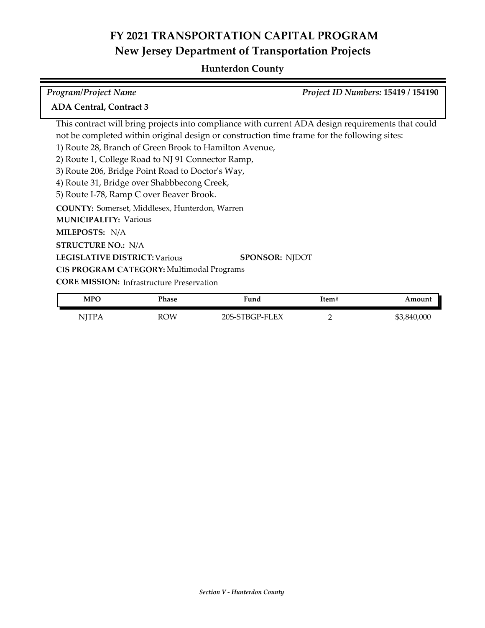# **FY 2021 TRANSPORTATION CAPITAL PROGRAM New Jersey Department of Transportation Projects**

### **Hunterdon County**

| <b>Program/Project Name</b>                                                                       | Project ID Numbers: 15419 / 154190 |
|---------------------------------------------------------------------------------------------------|------------------------------------|
| <b>ADA Central, Contract 3</b>                                                                    |                                    |
| This contract will bring projects into compliance with current ADA design requirements that could |                                    |
| not be completed within original design or construction time frame for the following sites:       |                                    |
| 1) Route 28, Branch of Green Brook to Hamilton Avenue,                                            |                                    |
| 2) Route 1, College Road to NJ 91 Connector Ramp,                                                 |                                    |
| 3) Route 206, Bridge Point Road to Doctor's Way,                                                  |                                    |
| 4) Route 31, Bridge over Shabbbecong Creek,                                                       |                                    |
| 5) Route I-78, Ramp C over Beaver Brook.                                                          |                                    |
| <b>COUNTY:</b> Somerset, Middlesex, Hunterdon, Warren                                             |                                    |
| <b>MUNICIPALITY: Various</b>                                                                      |                                    |
| <b>MILEPOSTS: N/A</b>                                                                             |                                    |
| <b>STRUCTURE NO.: N/A</b>                                                                         |                                    |
| <b>LEGISLATIVE DISTRICT: Various</b>                                                              | <b>SPONSOR: NJDOT</b>              |
| CIS PROGRAM CATEGORY: Multimodal Programs                                                         |                                    |
| <b>CORE MISSION:</b> Infrastructure Preservation                                                  |                                    |

| <b>MPC</b>        | Phase      | <b>Fund</b>                   | Item# | mount             |
|-------------------|------------|-------------------------------|-------|-------------------|
| NITP.<br><b>.</b> | <b>ROW</b> | P-FLEX:<br><u>ንበፍ-</u><br>BGP |       | 000<br>\$3,<br>84 |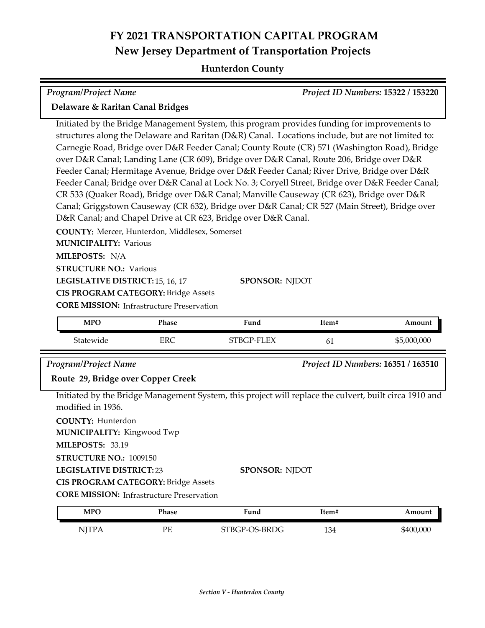# **FY 2021 TRANSPORTATION CAPITAL PROGRAM New Jersey Department of Transportation Projects**

### **Hunterdon County**

| <b>Program/Project Name</b>                                                                                                                                                                                                                                                                                                                                                                                                                                                                                                                                                                                                                                                                                                                                                                                                                                   |            |                |       | Project ID Numbers: 15322 / 153220 |
|---------------------------------------------------------------------------------------------------------------------------------------------------------------------------------------------------------------------------------------------------------------------------------------------------------------------------------------------------------------------------------------------------------------------------------------------------------------------------------------------------------------------------------------------------------------------------------------------------------------------------------------------------------------------------------------------------------------------------------------------------------------------------------------------------------------------------------------------------------------|------------|----------------|-------|------------------------------------|
| Delaware & Raritan Canal Bridges                                                                                                                                                                                                                                                                                                                                                                                                                                                                                                                                                                                                                                                                                                                                                                                                                              |            |                |       |                                    |
| Initiated by the Bridge Management System, this program provides funding for improvements to<br>structures along the Delaware and Raritan (D&R) Canal. Locations include, but are not limited to:<br>Carnegie Road, Bridge over D&R Feeder Canal; County Route (CR) 571 (Washington Road), Bridge<br>over D&R Canal; Landing Lane (CR 609), Bridge over D&R Canal, Route 206, Bridge over D&R<br>Feeder Canal; Hermitage Avenue, Bridge over D&R Feeder Canal; River Drive, Bridge over D&R<br>Feeder Canal; Bridge over D&R Canal at Lock No. 3; Coryell Street, Bridge over D&R Feeder Canal;<br>CR 533 (Quaker Road), Bridge over D&R Canal; Manville Causeway (CR 623), Bridge over D&R<br>Canal; Griggstown Causeway (CR 632), Bridge over D&R Canal; CR 527 (Main Street), Bridge over<br>D&R Canal; and Chapel Drive at CR 623, Bridge over D&R Canal. |            |                |       |                                    |
| COUNTY: Mercer, Hunterdon, Middlesex, Somerset<br><b>MUNICIPALITY: Various</b><br>MILEPOSTS: N/A<br><b>STRUCTURE NO.: Various</b><br>LEGISLATIVE DISTRICT: 15, 16, 17<br><b>CIS PROGRAM CATEGORY: Bridge Assets</b><br><b>CORE MISSION: Infrastructure Preservation</b>                                                                                                                                                                                                                                                                                                                                                                                                                                                                                                                                                                                       |            | SPONSOR: NJDOT |       |                                    |
| <b>MPO</b>                                                                                                                                                                                                                                                                                                                                                                                                                                                                                                                                                                                                                                                                                                                                                                                                                                                    | Phase      | Fund           | Item# | Amount                             |
| Statewide                                                                                                                                                                                                                                                                                                                                                                                                                                                                                                                                                                                                                                                                                                                                                                                                                                                     | <b>ERC</b> | STBGP-FLEX     | 61    | \$5,000,000                        |
| Program/Project Name<br>Route 29, Bridge over Copper Creek                                                                                                                                                                                                                                                                                                                                                                                                                                                                                                                                                                                                                                                                                                                                                                                                    |            |                |       | Project ID Numbers: 16351 / 163510 |
| Initiated by the Bridge Management System, this project will replace the culvert, built circa 1910 and<br>modified in 1936.<br><b>COUNTY: Hunterdon</b><br>MUNICIPALITY: Kingwood Twp<br>MILEPOSTS: 33.19<br>STRUCTURE NO.: 1009150<br><b>LEGISLATIVE DISTRICT:23</b><br><b>SPONSOR: NJDOT</b><br><b>CIS PROGRAM CATEGORY: Bridge Assets</b><br><b>CORE MISSION: Infrastructure Preservation</b>                                                                                                                                                                                                                                                                                                                                                                                                                                                              |            |                |       |                                    |
| <b>MPO</b>                                                                                                                                                                                                                                                                                                                                                                                                                                                                                                                                                                                                                                                                                                                                                                                                                                                    | Phase      | Fund           | Item# | Amount                             |
| <b>NJTPA</b>                                                                                                                                                                                                                                                                                                                                                                                                                                                                                                                                                                                                                                                                                                                                                                                                                                                  | PE         | STBGP-OS-BRDG  | 134   | \$400,000                          |